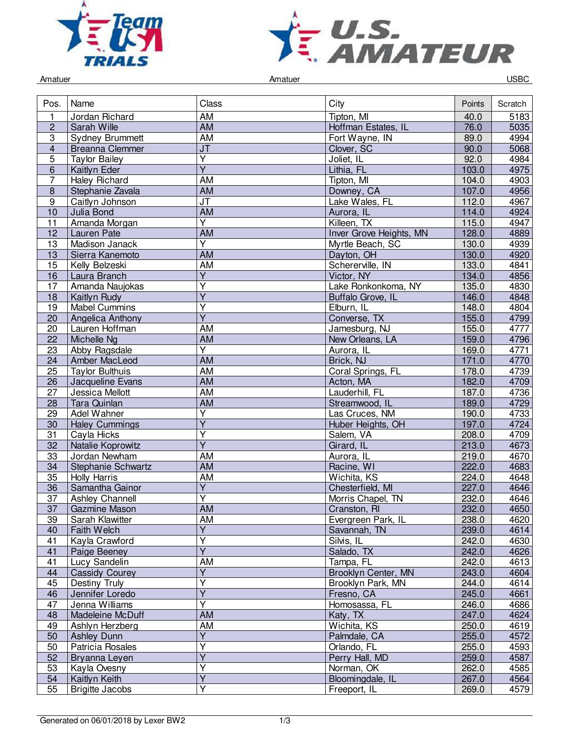



Amatuer Controller Controller Amatuer Amatuer Controller Controller Controller Controller Controller Controller

| Pos.                    | Name                   | Class                             | City                    | Points | Scratch |
|-------------------------|------------------------|-----------------------------------|-------------------------|--------|---------|
| 1                       | Jordan Richard         | AM                                | Tipton, MI              | 40.0   | 5183    |
| $\overline{2}$          | Sarah Wille            | $\overline{AM}$                   | Hoffman Estates, IL     | 76.0   | 5035    |
| 3                       | <b>Sydney Brummett</b> | <b>AM</b>                         | Fort Wayne, IN          | 89.0   | 4994    |
| $\overline{\mathbf{4}}$ | <b>Breanna Clemmer</b> | $\overline{\mathsf{J}\mathsf{T}}$ | Clover, SC              | 90.0   | 5068    |
| 5                       | <b>Taylor Bailey</b>   | Y                                 | Joliet, IL              | 92.0   | 4984    |
| 6                       | Kaitlyn Eder           | $\overline{Y}$                    | Lithia, FL              | 103.0  | 4975    |
| 7                       | <b>Haley Richard</b>   | AM                                | Tipton, MI              | 104.0  | 4903    |
| 8                       | Stephanie Zavala       | AM                                | Downey, CA              | 107.0  | 4956    |
| $\overline{9}$          | Caitlyn Johnson        | $\overline{\mathsf{J}\mathsf{T}}$ | Lake Wales, FL          | 112.0  | 4967    |
| 10                      | Julia Bond             | <b>AM</b>                         | Aurora, IL              | 114.0  | 4924    |
| 11                      | Amanda Morgan          | $\overline{\mathsf{Y}}$           | Killeen, TX             | 115.0  | 4947    |
| 12                      | Lauren Pate            | $\overline{AM}$                   | Inver Grove Heights, MN | 128.0  | 4889    |
| 13                      | Madison Janack         | $\overline{Y}$                    | Myrtle Beach, SC        | 130.0  | 4939    |
| $\overline{13}$         | Sierra Kanemoto        | <b>AM</b>                         | Dayton, OH              | 130.0  | 4920    |
| 15                      | Kelly Belzeski         | AM                                | Schererville, IN        | 133.0  | 4841    |
| 16                      | Laura Branch           | $\overline{Y}$                    | Victor, NY              | 134.0  | 4856    |
| 17                      | Amanda Naujokas        | Ÿ                                 | Lake Ronkonkoma, NY     | 135.0  | 4830    |
| 18                      | Kaitlyn Rudy           | Υ                                 | Buffalo Grove, IL       | 146.0  | 4848    |
| 19                      | <b>Mabel Cummins</b>   | $\overline{\mathsf{Y}}$           | Elburn, IL              | 148.0  | 4804    |
| 20                      | Angelica Anthony       | $\overline{Y}$                    | Converse, TX            | 155.0  | 4799    |
| 20                      | Lauren Hoffman         | AM                                | Jamesburg, NJ           | 155.0  | 4777    |
| 22                      | Michelle Ng            | <b>AM</b>                         | New Orleans, LA         | 159.0  | 4796    |
| 23                      | Abby Ragsdale          | Y                                 | Aurora, IL              | 169.0  | 4771    |
| 24                      | Amber MacLeod          | <b>AM</b>                         | Brick, NJ               | 171.0  | 4770    |
| $\overline{25}$         | <b>Taylor Bulthuis</b> | <b>AM</b>                         | Coral Springs, FL       | 178.0  | 4739    |
| 26                      | Jacqueline Evans       | <b>AM</b>                         | Acton, MA               | 182.0  | 4709    |
| 27                      | Jessica Mellott        | AM                                | Lauderhill, FL          | 187.0  | 4736    |
| 28                      | Tara Quinlan           | AM                                | Streamwood, IL          | 189.0  | 4729    |
| 29                      | Adel Wahner            | Υ                                 | Las Cruces, NM          | 190.0  | 4733    |
| $\overline{30}$         | <b>Haley Cummings</b>  | $\overline{\mathsf{Y}}$           | Huber Heights, OH       | 197.0  | 4724    |
| 31                      | Cayla Hicks            | $\overline{Y}$                    | Salem, VA               | 208.0  | 4709    |
| 32                      | Natalie Koprowitz      | $\overline{Y}$                    | Girard, IL              | 213.0  | 4673    |
| 33                      | Jordan Newham          | AM                                | Aurora, IL              | 219.0  | 4670    |
| 34                      | Stephanie Schwartz     | <b>AM</b>                         | Racine, WI              | 222.0  | 4683    |
| $\overline{35}$         | Holly Harris           | <b>AM</b>                         | Wichita, KS             | 224.0  | 4648    |
| 36                      | Samantha Gainor        | $\overline{Y}$                    | Chesterfield, MI        | 227.0  | 4646    |
| 37                      | <b>Ashley Channell</b> | $\overline{\mathsf{Y}}$           | Morris Chapel, TN       | 232.0  | 4646    |
| 37                      | Gazmine Mason          | <b>AM</b>                         | Cranston, RI            | 232.0  | 4650    |
| 39                      | Sarah Klawitter        | AM                                | Evergreen Park, IL      | 238.0  | 4620    |
| 40                      | Faith Welch            | Y                                 | Savannah, TN            | 239.0  | 4614    |
| 41                      | Kayla Crawford         | $\overline{\mathsf{Y}}$           | Silvis, IL              | 242.0  | 4630    |
| 41                      | Paige Beeney           | $\overline{\mathsf{Y}}$           | Salado, TX              | 242.0  | 4626    |
| 41                      | Lucy Sandelin          | AM                                | Tampa, FL               | 242.0  | 4613    |
| 44                      | <b>Cassidy Courey</b>  | Y                                 | Brooklyn Center, MN     | 243.0  | 4604    |
| 45                      | Destiny Truly          | $\overline{\mathsf{Y}}$           | Brooklyn Park, MN       | 244.0  | 4614    |
| 46                      | Jennifer Loredo        | $\overline{Y}$                    | Fresno, CA              | 245.0  | 4661    |
| 47                      | Jenna Williams         | Ÿ                                 | Homosassa, FL           | 246.0  | 4686    |
| 48                      | Madeleine McDuff       | AM                                | Katy, TX                | 247.0  | 4624    |
| 49                      | Ashlyn Herzberg        | AM                                | Wichita, KS             | 250.0  | 4619    |
| 50                      | <b>Ashley Dunn</b>     | Y                                 | Palmdale, CA            | 255.0  | 4572    |
| 50                      | Patricia Rosales       | $\overline{\mathsf{Y}}$           | Orlando, FL             | 255.0  | 4593    |
| 52                      | Bryanna Leyen          | $\overline{Y}$                    | Perry Hall, MD          | 259.0  | 4587    |
| 53                      | Kayla Ovesny           | Υ                                 | Norman, OK              | 262.0  | 4585    |
| 54                      | Kaitlyn Keith          | $\overline{Y}$                    | Bloomingdale, IL        | 267.0  | 4564    |
| 55                      | <b>Brigitte Jacobs</b> | $\overline{Y}$                    | Freeport, IL            | 269.0  | 4579    |
|                         |                        |                                   |                         |        |         |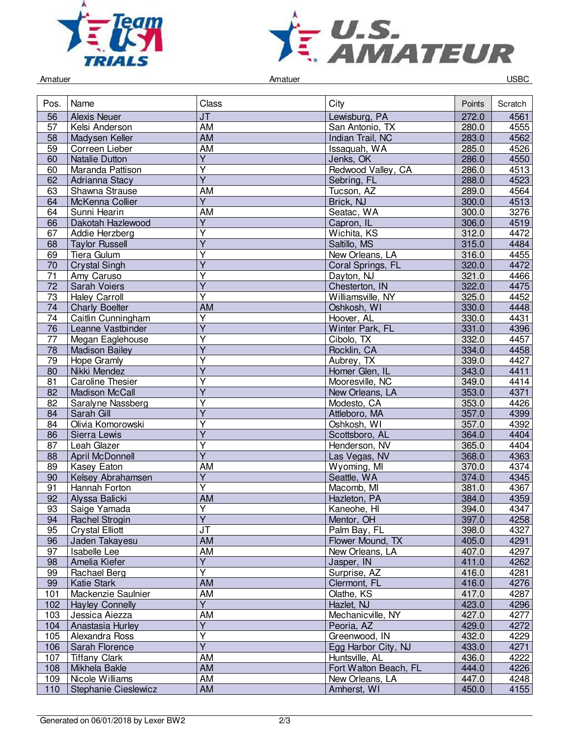



Amatuer Controller Controller Amatuer Amatuer Controller Controller Controller Controller Controller Controller

| Pos.            | Name                    | Class                             | City                  | Points | Scratch |
|-----------------|-------------------------|-----------------------------------|-----------------------|--------|---------|
| 56              | <b>Alexis Neuer</b>     | J <sub>T</sub>                    | Lewisburg, PA         | 272.0  | 4561    |
| $\overline{57}$ | Kelsi Anderson          | <b>AM</b>                         | San Antonio, TX       | 280.0  | 4555    |
| 58              | Madysen Keller          | <b>AM</b>                         | Indian Trail, NC      | 283.0  | 4562    |
| 59              | Correen Lieber          | AM                                | Issaquah, WA          | 285.0  | 4526    |
| 60              | <b>Natalie Dutton</b>   | Ÿ                                 | Jenks, OK             | 286.0  | 4550    |
| 60              | Maranda Pattison        | Υ                                 | Redwood Valley, CA    | 286.0  | 4513    |
| 62              | Adrianna Stacy          | $\overline{\mathsf{Y}}$           | Sebring, FL           | 288.0  | 4523    |
| 63              | Shawna Strause          | <b>AM</b>                         | Tucson, AZ            | 289.0  | 4564    |
| 64              | McKenna Collier         | $\overline{Y}$                    | Brick, NJ             | 300.0  | 4513    |
| 64              | Sunni Hearin            | AM                                | Seatac, WA            | 300.0  | 3276    |
| 66              | Dakotah Hazlewood       | $\overline{Y}$                    | Capron, IL            | 306.0  | 4519    |
| 67              | Addie Herzberg          | $\overline{\mathsf{Y}}$           | Wichita, KS           | 312.0  | 4472    |
| 68              | <b>Taylor Russell</b>   | Ÿ                                 | Saltillo, MS          | 315.0  | 4484    |
| 69              | Tiera Gulum             | Y                                 | New Orleans, LA       | 316.0  | 4455    |
| 70              | <b>Crystal Singh</b>    | Ý                                 | Coral Springs, FL     | 320.0  | 4472    |
| $\overline{71}$ | Amy Caruso              | Y                                 | Dayton, NJ            | 321.0  | 4466    |
| $\overline{72}$ | <b>Sarah Voiers</b>     | $\overline{\mathsf{Y}}$           | Chesterton, IN        | 322.0  | 4475    |
| 73              | <b>Haley Carroll</b>    | $\overline{\mathsf{Y}}$           | Williamsville, NY     | 325.0  | 4452    |
| 74              | <b>Charly Boelter</b>   | <b>AM</b>                         | Oshkosh, WI           | 330.0  | 4448    |
| $\overline{74}$ | Caitlin Cunningham      | Y                                 | Hoover, AL            | 330.0  | 4431    |
| 76              | Leanne Vastbinder       | Ÿ                                 | Winter Park, FL       | 331.0  | 4396    |
| $\overline{77}$ | Megan Eaglehouse        | $\overline{\mathsf{Y}}$           | Cibolo, TX            | 332.0  | 4457    |
| $\overline{78}$ | <b>Madison Bailey</b>   | $\overline{Y}$                    | Rocklin, CA           | 334.0  | 4458    |
| 79              | Hope Gramly             | Y                                 | Aubrey, TX            | 339.0  | 4427    |
| 80              | Nikki Mendez            | Ý                                 | Homer Glen, IL        | 343.0  | 4411    |
| 81              | <b>Caroline Thesier</b> | Υ                                 | Mooresville, NC       | 349.0  | 4414    |
| 82              | <b>Madison McCall</b>   | $\overline{\mathsf{Y}}$           | New Orleans, LA       | 353.0  | 4371    |
| 82              | Saralyne Nassberg       | Y                                 | Modesto, CA           | 353.0  | 4426    |
| 84              | Sarah Gill              | $\overline{Y}$                    | Attleboro, MA         | 357.0  | 4399    |
| 84              | Olivia Komorowski       | Ÿ                                 | Oshkosh, WI           | 357.0  | 4392    |
| 86              | Sierra Lewis            | Ÿ                                 | Scottsboro, AL        | 364.0  | 4404    |
| 87              | Leah Glazer             | $\overline{\mathsf{Y}}$           | Henderson, NV         | 365.0  | 4404    |
| 88              | <b>April McDonnell</b>  | $\overline{Y}$                    | Las Vegas, NV         | 368.0  | 4363    |
| 89              | <b>Kasey Eaton</b>      | AM                                | Wyoming, MI           | 370.0  | 4374    |
| 90              | Kelsey Abrahamsen       | Y                                 | Seattle, WA           | 374.0  | 4345    |
| 91              | Hannah Forton           | $\overline{Y}$                    | Macomb, MI            | 381.0  | 4367    |
| 92              | Alyssa Balicki          | $\overline{AM}$                   | Hazleton, PA          | 384.0  | 4359    |
| $\overline{93}$ | Saige Yamada            | $\overline{\mathsf{Y}}$           | Kaneohe, HI           | 394.0  | 4347    |
| 94              | <b>Rachel Strogin</b>   | Y                                 | Mentor, OH            | 397.0  | 4258    |
| 95              | <b>Crystal Elliott</b>  | $\overline{\mathsf{J}\mathsf{T}}$ | Palm Bay, FL          | 398.0  | 4327    |
| 96              | Jaden Takayesu          | AM                                | Flower Mound, TX      | 405.0  | 4291    |
| 97              | Isabelle Lee            | AM                                | New Orleans, LA       | 407.0  | 4297    |
| 98              | Amelia Kiefer           | $\overline{Y}$                    | Jasper, IN            | 411.0  | 4262    |
| 99              | Rachael Berg            | Y                                 | Surprise, AZ          | 416.0  | 4281    |
| 99              | <b>Katie Stark</b>      | AM                                | Clermont, FL          | 416.0  | 4276    |
| 101             | Mackenzie Saulnier      | AM                                | Olathe, KS            | 417.0  | 4287    |
| 102             | <b>Hayley Connelly</b>  | $\overline{Y}$                    | Hazlet, NJ            | 423.0  | 4296    |
| 103             | Jessica Aiezza          | AM                                | Mechanicville, NY     | 427.0  | 4277    |
| 104             | Anastasia Hurley        | $\overline{Y}$                    | Peoria, AZ            | 429.0  | 4272    |
| 105             | Alexandra Ross          | $\overline{\mathsf{Y}}$           | Greenwood, IN         | 432.0  | 4229    |
| 106             | Sarah Florence          | $\overline{\mathsf{Y}}$           | Egg Harbor City, NJ   | 433.0  | 4271    |
| 107             | <b>Tiffany Clark</b>    | AM                                | Huntsville, AL        | 436.0  | 4222    |
| 108             | Mikhela Bakle           | AM                                | Fort Walton Beach, FL | 444.0  | 4226    |
| 109             | Nicole Williams         | AM                                | New Orleans, LA       | 447.0  | 4248    |
| 110             | Stephanie Cieslewicz    | AM                                | Amherst, WI           | 450.0  | 4155    |